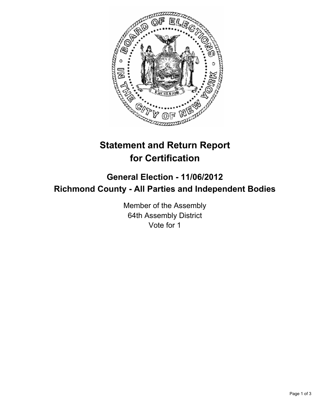

# **Statement and Return Report for Certification**

# **General Election - 11/06/2012 Richmond County - All Parties and Independent Bodies**

Member of the Assembly 64th Assembly District Vote for 1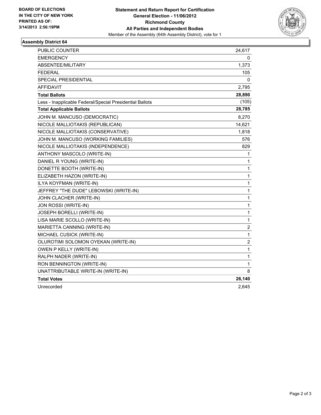

## **Assembly District 64**

| <b>PUBLIC COUNTER</b>                                    | 24,617         |
|----------------------------------------------------------|----------------|
| <b>EMERGENCY</b>                                         | 0              |
| ABSENTEE/MILITARY                                        | 1,373          |
| <b>FEDERAL</b>                                           | 105            |
| <b>SPECIAL PRESIDENTIAL</b>                              | 0              |
| <b>AFFIDAVIT</b>                                         | 2,795          |
| <b>Total Ballots</b>                                     | 28,890         |
| Less - Inapplicable Federal/Special Presidential Ballots | (105)          |
| <b>Total Applicable Ballots</b>                          | 28,785         |
| JOHN M. MANCUSO (DEMOCRATIC)                             | 8,270          |
| NICOLE MALLIOTAKIS (REPUBLICAN)                          | 14,621         |
| NICOLE MALLIOTAKIS (CONSERVATIVE)                        | 1,818          |
| JOHN M. MANCUSO (WORKING FAMILIES)                       | 576            |
| NICOLE MALLIOTAKIS (INDEPENDENCE)                        | 829            |
| ANTHONY MASCOLO (WRITE-IN)                               | 1              |
| DANIEL R YOUNG (WRITE-IN)                                | 1              |
| DONETTE BOOTH (WRITE-IN)                                 | 1              |
| ELIZABETH HAZON (WRITE-IN)                               | 1              |
| ILYA KOYFMAN (WRITE-IN)                                  | 1              |
| JEFFREY "THE DUDE" LEBOWSKI (WRITE-IN)                   | 1              |
| JOHN CLACHER (WRITE-IN)                                  | 1              |
| JON ROSSI (WRITE-IN)                                     | 1              |
| JOSEPH BORELLI (WRITE-IN)                                | 1              |
| LISA MARIE SCOLLO (WRITE-IN)                             | $\mathbf 1$    |
| MARIETTA CANNING (WRITE-IN)                              | 2              |
| MICHAEL CUSICK (WRITE-IN)                                | 1              |
| OLUROTIMI SOLOMON OYEKAN (WRITE-IN)                      | $\overline{c}$ |
| OWEN P KELLY (WRITE-IN)                                  | $\mathbf{1}$   |
| RALPH NADER (WRITE-IN)                                   | 1              |
| RON BENNINGTON (WRITE-IN)                                | 1              |
| UNATTRIBUTABLE WRITE-IN (WRITE-IN)                       | 8              |
| <b>Total Votes</b>                                       | 26,140         |
| Unrecorded                                               | 2,645          |